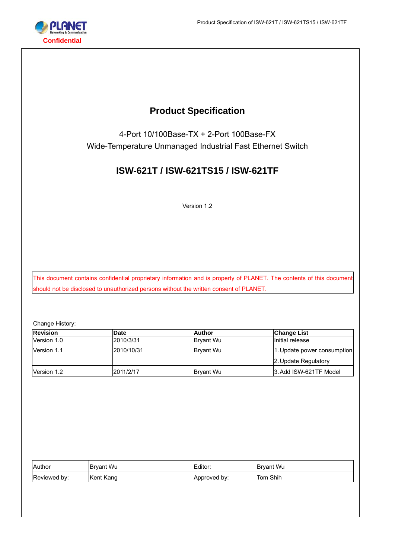

# **Product Specification**

4-Port 10/100Base-TX + 2-Port 100Base-FX Wide-Temperature Unmanaged Industrial Fast Ethernet Switch

# **ISW-621T / ISW-621TS15 / ISW-621TF**

Version 1.2

This document contains confidential proprietary information and is property of PLANET. The contents of this document should not be disclosed to unauthorized persons without the written consent of PLANET.

Change History:

| <b>Revision</b> | <b>Date</b> | Author           | Change List                 |
|-----------------|-------------|------------------|-----------------------------|
| Version 1.0     | 2010/3/31   | <b>Brvant Wu</b> | Initial release             |
| Version 1.1     | 2010/10/31  | <b>Bryant Wu</b> | 1. Update power consumption |
|                 |             |                  | 2. Update Regulatory        |
| Version 1.2     | 2011/2/17   | <b>Bryant Wu</b> | 3. Add ISW-621TF Model      |

| Author       | <b>Brvant Wu</b> | Editor:      | Bryant Wu   |
|--------------|------------------|--------------|-------------|
| Reviewed by: | Kent Kang        | Approved by: | Shih<br>Iom |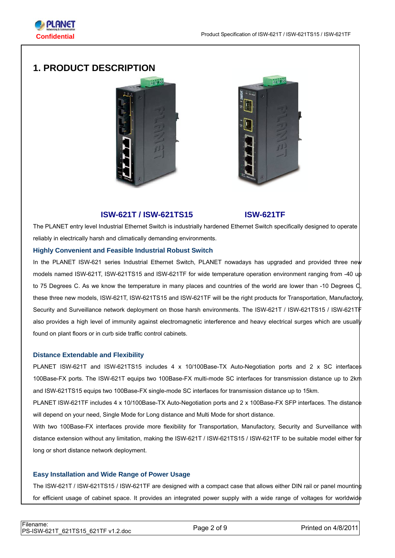

# **1. PRODUCT DESCRIPTION**





## **ISW-621T / ISW-621TS15 ISW-621TF**

The PLANET entry level Industrial Ethernet Switch is industrially hardened Ethernet Switch specifically designed to operate reliably in electrically harsh and climatically demanding environments.

#### **Highly Convenient and Feasible Industrial Robust Switch**

In the PLANET ISW-621 series Industrial Ethernet Switch, PLANET nowadays has upgraded and provided three new models named ISW-621T, ISW-621TS15 and ISW-621TF for wide temperature operation environment ranging from -40 up to 75 Degrees C. As we know the temperature in many places and countries of the world are lower than -10 Degrees C, these three new models, ISW-621T, ISW-621TS15 and ISW-621TF will be the right products for Transportation, Manufactory, Security and Surveillance network deployment on those harsh environments. The ISW-621T / ISW-621TS15 / ISW-621TF also provides a high level of immunity against electromagnetic interference and heavy electrical surges which are usually found on plant floors or in curb side traffic control cabinets.

#### **Distance Extendable and Flexibility**

PLANET ISW-621T and ISW-621TS15 includes 4 x 10/100Base-TX Auto-Negotiation ports and 2 x SC interfaces 100Base-FX ports. The ISW-621T equips two 100Base-FX multi-mode SC interfaces for transmission distance up to 2km and ISW-621TS15 equips two 100Base-FX single-mode SC interfaces for transmission distance up to 15km.

PLANET ISW-621TF includes 4 x 10/100Base-TX Auto-Negotiation ports and 2 x 100Base-FX SFP interfaces. The distance will depend on your need, Single Mode for Long distance and Multi Mode for short distance.

With two 100Base-FX interfaces provide more flexibility for Transportation, Manufactory, Security and Surveillance with distance extension without any limitation, making the ISW-621T / ISW-621TS15 / ISW-621TF to be suitable model either for long or short distance network deployment.

#### **Easy Installation and Wide Range of Power Usage**

The ISW-621T / ISW-621TS15 / ISW-621TF are designed with a compact case that allows either DIN rail or panel mounting for efficient usage of cabinet space. It provides an integrated power supply with a wide range of voltages for worldwide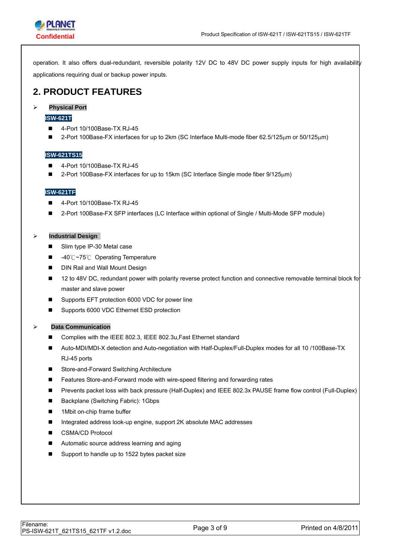

operation. It also offers dual-redundant, reversible polarity 12V DC to 48V DC power supply inputs for high availability applications requiring dual or backup power inputs.

# **2. PRODUCT FEATURES**

#### ¾ **Physical Port**

#### **ISW-621T**

- 4-Port 10/100Base-TX RJ-45
- 2-Port 100Base-FX interfaces for up to 2km (SC Interface Multi-mode fiber 62.5/125μm or 50/125μm)

#### **ISW-621TS15**

- 4-Port 10/100Base-TX RJ-45
- 2-Port 100Base-FX interfaces for up to 15km (SC Interface Single mode fiber 9/125μm)

#### **ISW-621TF**

- 4-Port 10/100Base-TX RJ-45
- 2-Port 100Base-FX SFP interfaces (LC Interface within optional of Single / Multi-Mode SFP module)

#### ¾ **Industrial Design**

- Slim type IP-30 Metal case
- -40℃~75℃ Operating Temperature
- **DIN Rail and Wall Mount Design**
- 12 to 48V DC, redundant power with polarity reverse protect function and connective removable terminal block for master and slave power
- Supports EFT protection 6000 VDC for power line
- Supports 6000 VDC Ethernet ESD protection

#### ¾ **Data Communication**

- Complies with the IEEE 802.3, IEEE 802.3u, Fast Ethernet standard
- Auto-MDI/MDI-X detection and Auto-negotiation with Half-Duplex/Full-Duplex modes for all 10 /100Base-TX RJ-45 ports
- Store-and-Forward Switching Architecture
- Features Store-and-Forward mode with wire-speed filtering and forwarding rates
- Prevents packet loss with back pressure (Half-Duplex) and IEEE 802.3x PAUSE frame flow control (Full-Duplex)
- Backplane (Switching Fabric): 1Gbps
- 1Mbit on-chip frame buffer
- Integrated address look-up engine, support 2K absolute MAC addresses
- CSMA/CD Protocol
- Automatic source address learning and aging
- Support to handle up to 1522 bytes packet size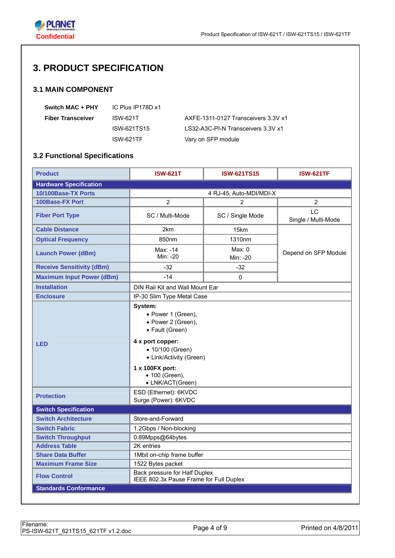

# **3. PRODUCT SPECIFICATION**

## **3.1 MAIN COMPONENT**

| Switch MAC + PHY         | IC Plus IP178D x1 |                                     |
|--------------------------|-------------------|-------------------------------------|
| <b>Fiber Transceiver</b> | ISW-621T          | AXFE-1311-0127 Transceivers 3.3V x1 |
|                          | ISW-621TS15       | LS32-A3C-PI-N Transceivers 3.3V x1  |
|                          | ISW-621TF         | Vary on SFP module                  |

# **3.2 Functional Specifications**

| <b>Product</b>                   | <b>ISW-621T</b>                                                                                                                                                                                    | <b>ISW-621TS15</b>      | <b>ISW-621TF</b>          |
|----------------------------------|----------------------------------------------------------------------------------------------------------------------------------------------------------------------------------------------------|-------------------------|---------------------------|
| <b>Hardware Specification</b>    |                                                                                                                                                                                                    |                         |                           |
| 10/100Base-TX Ports              |                                                                                                                                                                                                    | 4 RJ-45, Auto-MDI/MDI-X |                           |
| <b>100Base-FX Port</b>           | $\overline{2}$                                                                                                                                                                                     | $\overline{2}$          | $\overline{2}$            |
| <b>Fiber Port Type</b>           | SC / Multi-Mode                                                                                                                                                                                    | SC / Single Mode        | LC<br>Single / Multi-Mode |
| <b>Cable Distance</b>            | 2km                                                                                                                                                                                                | 15km                    |                           |
| <b>Optical Frequency</b>         | 850nm                                                                                                                                                                                              | 1310nm                  |                           |
| <b>Launch Power (dBm)</b>        | Max: -14<br>Min: -20                                                                                                                                                                               | Max: 0<br>Min: -20      | Depend on SFP Module      |
| <b>Receive Sensitivity (dBm)</b> | $-32$                                                                                                                                                                                              | $-32$                   |                           |
| <b>Maximum Input Power (dBm)</b> | $-14$                                                                                                                                                                                              | $\Omega$                |                           |
| <b>Installation</b>              | DIN Rail Kit and Wall Mount Ear                                                                                                                                                                    |                         |                           |
| <b>Enclosure</b>                 | IP-30 Slim Type Metal Case                                                                                                                                                                         |                         |                           |
| <b>LED</b>                       | System:<br>• Power 1 (Green),<br>• Power 2 (Green),<br>• Fault (Green)<br>4 x port copper:<br>• 10/100 (Green)<br>• Link/Activity (Green)<br>1 x 100FX port:<br>• 100 (Green),<br>• LNK/ACT(Green) |                         |                           |
| <b>Protection</b>                | ESD (Ethernet): 6KVDC<br>Surge (Power): 6KVDC                                                                                                                                                      |                         |                           |
| <b>Switch Specification</b>      |                                                                                                                                                                                                    |                         |                           |
| <b>Switch Architecture</b>       | Store-and-Forward                                                                                                                                                                                  |                         |                           |
| <b>Switch Fabric</b>             | 1.2Gbps / Non-blocking                                                                                                                                                                             |                         |                           |
| <b>Switch Throughput</b>         | 0.89Mpps@64bytes                                                                                                                                                                                   |                         |                           |
| <b>Address Table</b>             | 2K entries                                                                                                                                                                                         |                         |                           |
| <b>Share Data Buffer</b>         | 1Mbit on-chip frame buffer                                                                                                                                                                         |                         |                           |
| <b>Maximum Frame Size</b>        | 1522 Bytes packet                                                                                                                                                                                  |                         |                           |
| <b>Flow Control</b>              | Back pressure for Half Duplex<br>IEEE 802.3x Pause Frame for Full Duplex                                                                                                                           |                         |                           |
| <b>Standards Conformance</b>     |                                                                                                                                                                                                    |                         |                           |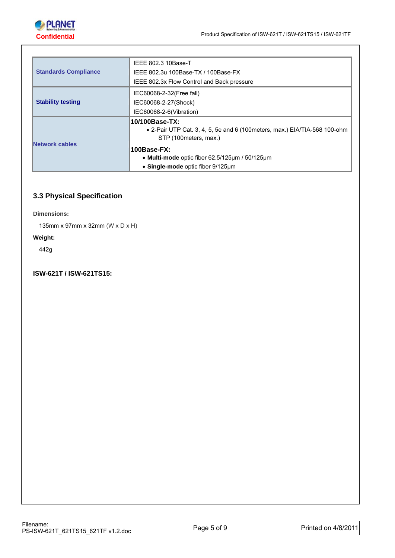

|                             | IEEE 802.3 10Base-T                                                                                                    |
|-----------------------------|------------------------------------------------------------------------------------------------------------------------|
| <b>Standards Compliance</b> | IEEE 802.3u 100Base-TX / 100Base-FX                                                                                    |
|                             | IEEE 802.3x Flow Control and Back pressure                                                                             |
|                             | IEC60068-2-32(Free fall)                                                                                               |
| <b>Stability testing</b>    | IEC60068-2-27(Shock)                                                                                                   |
|                             | IEC60068-2-6(Vibration)                                                                                                |
| Network cables              | 10/100Base-TX:<br>• 2-Pair UTP Cat. 3, 4, 5, 5e and 6 (100 meters, max.) EIA/TIA-568 100-ohm<br>STP (100 meters, max.) |
|                             | 100Base-FX:                                                                                                            |
|                             | • Multi-mode optic fiber $62.5/125 \mu m / 50/125 \mu m$                                                               |
|                             | • Single-mode optic fiber 9/125um                                                                                      |

# **3.3 Physical Specification**

**Dimensions:** 

135mm x 97mm x 32mm (W x D x H)

#### **Weight:**

442g

# **ISW-621T / ISW-621TS15:**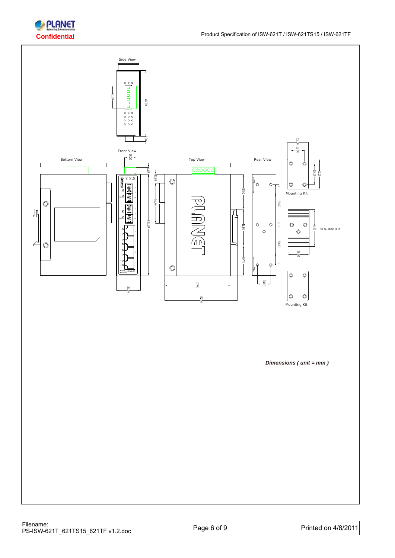

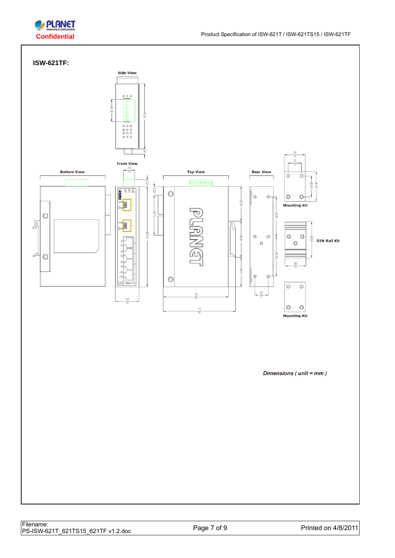

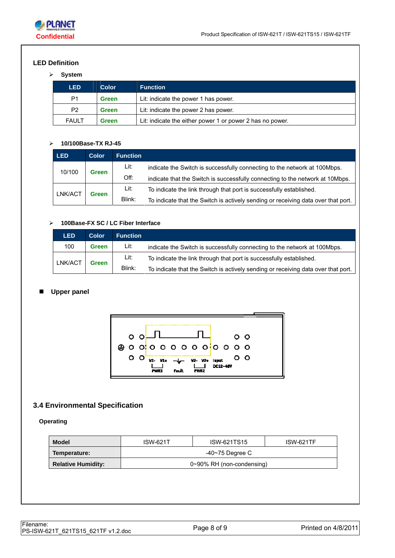

# **LED Definition**

## ¾ **System**

| <b>LED</b>     | <b>Color</b> | <b>Function</b>                                           |
|----------------|--------------|-----------------------------------------------------------|
| P <sub>1</sub> | <b>Green</b> | Lit: indicate the power 1 has power.                      |
| P <sub>2</sub> | <b>Green</b> | Lit: indicate the power 2 has power.                      |
| <b>FAULT</b>   | <b>Green</b> | Lit: indicate the either power 1 or power 2 has no power. |

## ¾ **10/100Base-TX RJ-45**

| <b>LED</b>              | <b>Color</b> | <b>Function</b> |                                                                                   |
|-------------------------|--------------|-----------------|-----------------------------------------------------------------------------------|
| 10/100                  | Green        | Lit:            | indicate the Switch is successfully connecting to the network at 100Mbps.         |
|                         |              | Off:            | indicate that the Switch is successfully connecting to the network at 10Mbps.     |
| LNK/ACT<br><b>Green</b> |              | Lit:            | To indicate the link through that port is successfully established.               |
|                         |              | Blink:          | To indicate that the Switch is actively sending or receiving data over that port. |

# ¾ **100Base-FX SC / LC Fiber Interface**

| <b>LED</b>              | <b>Color</b> | <b>Function</b> |                                                                                   |
|-------------------------|--------------|-----------------|-----------------------------------------------------------------------------------|
| 100                     | Green        | Lit:            | indicate the Switch is successfully connecting to the network at 100Mbps.         |
| LNK/ACT<br><b>Green</b> |              | Lit:            | To indicate the link through that port is successfully established.               |
|                         |              | Blink:          | To indicate that the Switch is actively sending or receiving data over that port. |

### **Upper panel**



# **3.4 Environmental Specification**

#### **Operating**

| <b>Model</b>              | <b>ISW-621T</b>                 | ISW-621TS15 | <b>ISW-621TF</b> |
|---------------------------|---------------------------------|-------------|------------------|
| Temperature:              | -40~75 Degree C                 |             |                  |
| <b>Relative Humidity:</b> | $0\nu$ -90% RH (non-condensing) |             |                  |